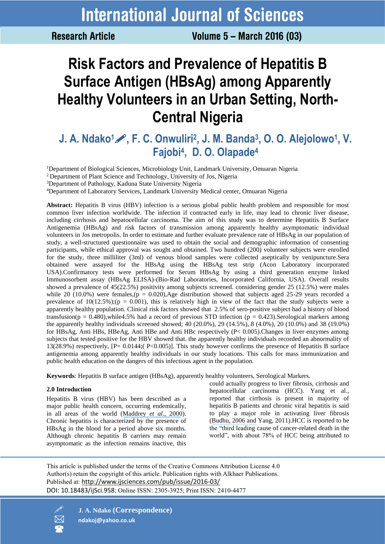**Research Article** 

Volume 5 - March 2016 (03)

# **Risk Factors and Prevalence of Hepatitis B Surface Antigen (HBsAg) among Apparently Healthy Volunteers in an Urban Setting, North-Central Nigeria**

## **J. A. Ndako1, F. C. Onwuliri<sup>2</sup> , J. M. Banda<sup>3</sup> , O. O. Alejolowo<sup>1</sup> , V. Fajobi<sup>4</sup> , D. O. Olapade<sup>4</sup>**

<sup>1</sup>Department of Biological Sciences, Microbiology Unit, Landmark University, Omuaran Nigeria

<sup>2</sup>Department of Plant Science and Technology, University of Jos, Nigeria

<sup>3</sup>Department of Pathology, Kaduna State University Nigeria

<sup>4</sup>Department of Laboratory Services, Landmark University Medical center, Omuaran Nigeria

**Abstract:** Hepatitis B virus (HBV) infection is a serious global public health problem and responsible for most common liver infection worldwide. The infection if contracted early in life, may lead to chronic liver disease, including cirrhosis and hepatocellular carcinoma. The aim of this study was to determine Hepatitis B Surface Antigenemia (HBsAg) and risk factors of transmission among apparently healthy asymptomatic individual volunteers in Jos metropolis. In order to estimate and further evaluate prevalence rate of HBsAg in our population of study, a well-structured questionnaire was used to obtain the social and demographic information of consenting participants, while ethical approval was sought and obtained. Two hundred (200) volunteer subjects were enrolled for the study, three milliliter (3ml) of venous blood samples were collected aseptically by venipuncture.Sera obtained were assayed for the HBsAg using the HBsAg test strip (Acon Laboratory incorporated USA).Confirmatory tests were performed for Serum HBsAg by using a third generation enzyme linked Immunosorbent assay (HBsAg ELISA)-(Bio-Rad Laboratories, Incorporated California, USA). Overall results showed a prevalence of 45(22.5%) positivity among subjects screened. considering gender 25 (12.5%) were males while 20 (10.0%) were females,( $p = 0.020$ ), Age distribution showed that subjects aged 25-29 years recorded a prevalence of  $10(12.5\%)$ ;(p = 0.001), this is relatively high in view of the fact that the study subjects were a apparently healthy population. Clinical risk factors showed that 2.5% of sero-positive subject had a history of blood transfusion( $p = 0.480$ ), while 4.5% had a record of previous STD infection ( $p = 0.423$ ). Serological markers among the apparently healthy individuals screened showed; 40 (20.0%), 29 (14.5%), 8 (4.0%), 20 (10.0%) and 38 (19.0%) for HBsAg, Anti HBs, HBeAg, Anti HBe and Anti HBc respectively (P< 0.005).Changes in liver enzymes among subjects that tested positive for the HBV showed that. the apparently healthy individuals recorded an abnormality of 13(28.9%) respectively, [P= 0.0144;( P<0.005)]. This study however confirms the presence of Hepatitis B surface antigenemia among apparently healthy individuals in our study locations. This calls for mass immunization and public health education on the dangers of this infectious agent in the population.

**Keywords**: Hepatitis B surface antigen (HBsAg), apparently healthy volunteers, Serological Markers.

### **2.0 Introduction**

Hepatitis B virus (HBV) has been described as a major public health concern, occurring endemically, in all areas of the world ([Maddrey](https://www.researchgate.net/publication/12117583_Hepatitis_B_An_important_public_health_issue?el=1_x_8&enrichId=rgreq-67b3cab7e37983c279477810d6c17cfa-XXX&enrichSource=Y292ZXJQYWdlOzI5OTU5MjcxOTtBUzozNTU4OTc1ODM5MTUwMTFAMTQ2MTg2NDAwNDQ1NQ==) *et al*., 2000). Chronic hepatitis is characterized by the presence of HBsAg in the blood for a period above six months. Although chronic hepatitis B carriers may remain asymptomatic as the infection remains inactive, this

could actually progress to liver fibrosis, cirrhosis and hepatocellular carcinoma (HCC). Yang et al., reported that cirrhosis is present in majority of hepatitis B patients and chronic viral hepatitis is said to play a major role in activating liver fibrosis ([Budhu, 2006](https://www.researchgate.net/publication/6842936_The_role_of_cytokines_in_hepatocellular_carcinoma?el=1_x_8&enrichId=rgreq-67b3cab7e37983c279477810d6c17cfa-XXX&enrichSource=Y292ZXJQYWdlOzI5OTU5MjcxOTtBUzozNTU4OTc1ODM5MTUwMTFAMTQ2MTg2NDAwNDQ1NQ==) and Yang, 2011).HCC is reported to be the "third leading cause of cancer-related death in the world", with about 78% of HCC being attributed to

This article is published under the terms of the Creative Commons Attribution License 4.0 Author(s) retain the copyright of this article. Publication rights with Alkhaer Publications. Published at: [http://www.ijsciences.com/pub/issue/2016](http://www.ijsciences.com/pub/issue/2016-03/)-03/ DOI: 10.18483/ijSci.958; Online ISSN: 2305-3925; Print ISSN: 2410-4477



 **J. A. Ndako (Correspondence) ndakoj@yahoo.co.uk**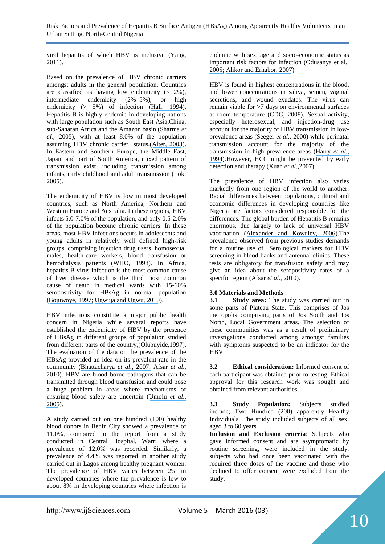Risk Factors and Prevalence of Hepatitis B Surface Antigen (HBsAg) Among Apparently Healthy Volunteers in an Urban Setting, North-Central Nigeria

viral hepatitis of which HBV is inclusive (Yang, 2011).

Based on the prevalence of HBV chronic carriers amongst adults in the general population, Countries are classified as having low endemicity  $(2\%)$ , intermediate endemicity (2%–5%), or high endemicity (> 5%) of infection ([Hall, 1994](https://www.researchgate.net/publication/269346295_Control_of_hepatitis_B_by_childhood_vaccination?el=1_x_8&enrichId=rgreq-67b3cab7e37983c279477810d6c17cfa-XXX&enrichSource=Y292ZXJQYWdlOzI5OTU5MjcxOTtBUzozNTU4OTc1ODM5MTUwMTFAMTQ2MTg2NDAwNDQ1NQ==)). Hepatitis B is highly endemic in developing nations with large population such as South East Asia,China, sub-Saharan Africa and the Amazon basin (Sharma *et al.,* 2005), with at least 8.0% of the population assuming HBV chronic carrier status.([Alter, 2003](https://www.researchgate.net/publication/10875058_Epidemiology_and_Prevention_of_Hepatitis_B?el=1_x_8&enrichId=rgreq-67b3cab7e37983c279477810d6c17cfa-XXX&enrichSource=Y292ZXJQYWdlOzI5OTU5MjcxOTtBUzozNTU4OTc1ODM5MTUwMTFAMTQ2MTg2NDAwNDQ1NQ==)). In Eastern and Southern Europe, the Middle East, Japan, and part of South America, mixed pattern of transmission exist, including transmission among infants, early childhood and adult transmission (Lok, 2005).

The endemicity of HBV is low in most developed countries, such as North America, Northern and Western Europe and Australia. In these regions*,* HBV infects 5.0-7.0% of the population, and only 0.5-2.0% of the population become chronic carriers. In these areas, most HBV infections occurs in adolescents and young adults in relatively well defined high-risk groups, comprising injection drug users, homosexual males, health-care workers, blood transfusion or hemodialysis patients (WHO, 1998). In Africa, hepatitis B virus infection is the most common cause of liver disease which is the third most common cause of death in medical wards with 15-60% seropositivity for HBsAg in normal population ([Bojuwoye, 1997;](https://www.researchgate.net/publication/13756851_The_burden_of_viral_hepatitis_in_Africa?el=1_x_8&enrichId=rgreq-67b3cab7e37983c279477810d6c17cfa-XXX&enrichSource=Y292ZXJQYWdlOzI5OTU5MjcxOTtBUzozNTU4OTc1ODM5MTUwMTFAMTQ2MTg2NDAwNDQ1NQ==) [Ugwuja and Ugwu, 2010](https://www.researchgate.net/publication/264416643_Seroprevalence_of_Hepatitis_B_Surface_Antigen_and_Liver_Function_Tests_among_Adolescents_in_Abakaliki_South_Eastern_Nigeria?el=1_x_8&enrichId=rgreq-67b3cab7e37983c279477810d6c17cfa-XXX&enrichSource=Y292ZXJQYWdlOzI5OTU5MjcxOTtBUzozNTU4OTc1ODM5MTUwMTFAMTQ2MTg2NDAwNDQ1NQ==)).

HBV infections constitute a major public health concern in Nigeria while several reports have established the endemicity of HBV by the presence of HBsAg in different groups of population studied from different parts of the country,(Olubuyide,1997). The evaluation of the data on the prevalence of the HBsAg provided an idea on its prevalent rate in the community ([Bhattacharya](https://www.researchgate.net/publication/6178752_Significant_increase_in_HBV_HCV_HIV_and_syphilis_infections_among_blood_donors_in_West_Bengal_Eastern_India_2004-2005_Exploratory_screening_reveals_high_frequency_of_occult_HBV_infection?el=1_x_8&enrichId=rgreq-67b3cab7e37983c279477810d6c17cfa-XXX&enrichSource=Y292ZXJQYWdlOzI5OTU5MjcxOTtBUzozNTU4OTc1ODM5MTUwMTFAMTQ2MTg2NDAwNDQ1NQ==) *et al*., 2007; Afsar *et al*., 2010). HBV are blood borne pathogens that can be transmitted through blood transfusion and could pose a huge problem in areas where mechanisms of ensuring blood safety are uncertain ([Umolu](https://www.researchgate.net/publication/7894692_Human_immunodeficiency_virus_HIV_seropositivity_and_hepatitis_B_surface_antigenemia_HBSAG_among_blood_donors_in_Benin_City_Edo_state_Nigeria?el=1_x_8&enrichId=rgreq-67b3cab7e37983c279477810d6c17cfa-XXX&enrichSource=Y292ZXJQYWdlOzI5OTU5MjcxOTtBUzozNTU4OTc1ODM5MTUwMTFAMTQ2MTg2NDAwNDQ1NQ==) *et al*., [2005](https://www.researchgate.net/publication/7894692_Human_immunodeficiency_virus_HIV_seropositivity_and_hepatitis_B_surface_antigenemia_HBSAG_among_blood_donors_in_Benin_City_Edo_state_Nigeria?el=1_x_8&enrichId=rgreq-67b3cab7e37983c279477810d6c17cfa-XXX&enrichSource=Y292ZXJQYWdlOzI5OTU5MjcxOTtBUzozNTU4OTc1ODM5MTUwMTFAMTQ2MTg2NDAwNDQ1NQ==)).

A study carried out on one hundred (100) healthy blood donors in Benin City showed a prevalence of 11.0%, compared to the report from a study conducted in Central Hospital, Warri where a prevalence of 12.0% was recorded. Similarly, a prevalence of 4.4% was reported in another study carried out in Lagos among healthy pregnant women. The prevalence of HBV varies between 2% in developed countries where the prevalence is low to about 8% in developing countries where infection is

endemic with sex, age and socio-economic status as important risk factors for infection ([Odusanya et al.,](https://www.researchgate.net/publication/7897767_Prevalence_of_hepatitis_B_surface_antigen_in_vaccinated_children_and_controls_in_rural_Nigeria?el=1_x_8&enrichId=rgreq-67b3cab7e37983c279477810d6c17cfa-XXX&enrichSource=Y292ZXJQYWdlOzI5OTU5MjcxOTtBUzozNTU4OTc1ODM5MTUwMTFAMTQ2MTg2NDAwNDQ1NQ==)  [2005;](https://www.researchgate.net/publication/7897767_Prevalence_of_hepatitis_B_surface_antigen_in_vaccinated_children_and_controls_in_rural_Nigeria?el=1_x_8&enrichId=rgreq-67b3cab7e37983c279477810d6c17cfa-XXX&enrichSource=Y292ZXJQYWdlOzI5OTU5MjcxOTtBUzozNTU4OTc1ODM5MTUwMTFAMTQ2MTg2NDAwNDQ1NQ==) [Alikor and Erhabor, 2007](https://www.researchgate.net/publication/5908586_Seroprevalence_of_hepatitis_B_surface_antigenaemia_in_children_in_a_tertiary_health_institution_in_the_Niger_Delta_of_Nigeria?el=1_x_8&enrichId=rgreq-67b3cab7e37983c279477810d6c17cfa-XXX&enrichSource=Y292ZXJQYWdlOzI5OTU5MjcxOTtBUzozNTU4OTc1ODM5MTUwMTFAMTQ2MTg2NDAwNDQ1NQ==))

HBV is found in highest concentrations in the blood, and lower concentrations in saliva, semen, vaginal secretions, and wound exudates. The virus can remain viable for >7 days on environmental surfaces at room temperature (CDC, 2008). Sexual activity, especially heterosexual, and injection-drug use account for the majority of HBV transmission in lowprevalence areas ([Seeger](https://www.researchgate.net/publication/12612187_Hepatitis_B_Virus_Biology?el=1_x_8&enrichId=rgreq-67b3cab7e37983c279477810d6c17cfa-XXX&enrichSource=Y292ZXJQYWdlOzI5OTU5MjcxOTtBUzozNTU4OTc1ODM5MTUwMTFAMTQ2MTg2NDAwNDQ1NQ==) *et al.,* 2000) while perinatal transmission account for the majority of the transmission in high prevalence areas ([Harry](https://www.researchgate.net/publication/15324322_Hepatitis_B_virus_infection_among_blood_donors_and_pregnant_women_in_Maiduguri_Nigeria?el=1_x_8&enrichId=rgreq-67b3cab7e37983c279477810d6c17cfa-XXX&enrichSource=Y292ZXJQYWdlOzI5OTU5MjcxOTtBUzozNTU4OTc1ODM5MTUwMTFAMTQ2MTg2NDAwNDQ1NQ==) *et al.,*  [1994](https://www.researchgate.net/publication/15324322_Hepatitis_B_virus_infection_among_blood_donors_and_pregnant_women_in_Maiduguri_Nigeria?el=1_x_8&enrichId=rgreq-67b3cab7e37983c279477810d6c17cfa-XXX&enrichSource=Y292ZXJQYWdlOzI5OTU5MjcxOTtBUzozNTU4OTc1ODM5MTUwMTFAMTQ2MTg2NDAwNDQ1NQ==)).However, HCC might be prevented by early detection and therapy (Xuan *et al*.,2007).

The prevalence of HBV infection also varies markedly from one region of the world to another. Racial differences between populations, cultural and economic differences in developing countries like Nigeria are factors considered responsible for the differences. The global burden of Hepatitis B remains enormous, due largely to lack of universal HBV vaccination ([Alexander and Kowdley, 2006](https://www.researchgate.net/publication/6861051_Epidemiology_of_hepatitis_B_Clinical_implications?el=1_x_8&enrichId=rgreq-67b3cab7e37983c279477810d6c17cfa-XXX&enrichSource=Y292ZXJQYWdlOzI5OTU5MjcxOTtBUzozNTU4OTc1ODM5MTUwMTFAMTQ2MTg2NDAwNDQ1NQ==)).The prevalence observed from previous studies demands for a routine use of Serological markers for HBV screening in blood banks and antennal clinics. These tests are obligatory for transfusion safety and may give an idea about the seropositivity rates of a specific region (Afsar *et al.*, 2010).

#### **3.0 Materials and Methods**

**3.1 Study area:** The study was carried out in some parts of Plateau State. This comprises of Jos metropolis comprising parts of Jos South and Jos North, Local Government areas. The selection of these communities was as a result of preliminary investigations conducted among amongst families with symptoms suspected to be an indicator for the HBV.

**3.2 Ethical consideration:** Informed consent of each participant was obtained prior to testing. Ethical approval for this research work was sought and obtained from relevant authorities.

**3.3 Study Population:** Subjects studied include; Two Hundred (200) apparently Healthy Individuals. The study included subjects of all sex, aged 3 to 60 years.

**Inclusion and Exclusion criteria**: Subjects who gave informed consent and are asymptomatic by routine screening, were included in the study, subjects who had once been vaccinated with the required three doses of the vaccine and those who declined to offer consent were excluded from the study.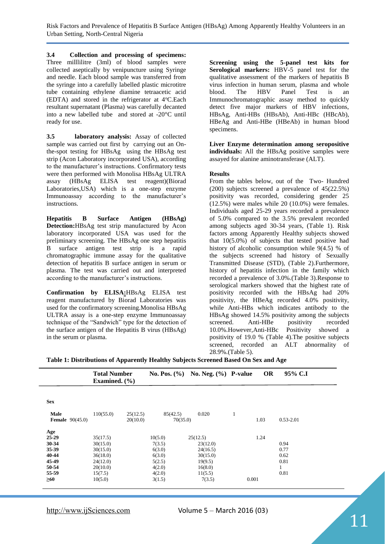Risk Factors and Prevalence of Hepatitis B Surface Antigen (HBsAg) Among Apparently Healthy Volunteers in an Urban Setting, North-Central Nigeria

**3.4 Collection and processing of specimens:** Three milllilitre (3ml) of blood samples were collected aseptically by venipuncture using Syringe and needle. Each blood sample was transferred from the syringe into a carefully labelled plastic microtitre tube containing ethylene diamine tetraacetic acid (EDTA) and stored in the refrigerator at  $4^{\circ}$ C.Each resultant supernatant (Plasma) was carefully decanted into a new labelled tube and stored at -20°C until ready for use.

**3.5 laboratory analysis:** Assay of collected sample was carried out first by carrying out an Onthe-spot testing for HBsAg using the HBsAg test strip (Acon Laboratory incorporated USA), according to the manufacturer's instructions. Confirmatory tests were then performed with Monolisa HBsAg ULTRA assay (HBsAg ELISA test reagent)(Biorad Laboratories,USA) which is a one-step enzyme Immunoassay according to the manufacturer's instructions.

**Hepatitis B Surface Antigen (HBsAg) Detection:**HBsAg test strip manufactured by Acon laboratory incorporated USA was used for the preliminary screening. The HBsAg one step hepatitis B surface antigen test strip is a rapid chromatographic immune assay for the qualitative detection of hepatitis B surface antigen in serum or plasma. The test was carried out and interpreted according to the manufacturer's instructions.

**Confirmation by ELISA:**HBsAg ELISA test reagent manufactured by Biorad Laboratories was used for the confirmatory screening.Monolisa HBsAg ULTRA assay is a one-step enzyme Immunoassay technique of the "Sandwich" type for the detection of the surface antigen of the Hepatitis B virus (HBsAg) in the serum or plasma.

**Screening using the 5-panel test kits for Serological markers:** HBV-5 panel test for the qualitative assessment of the markers of hepatitis B virus infection in human serum, plasma and whole blood. The HBV Panel Test is an Immunochromatographic assay method to quickly detect five major markers of HBV infections, HBsAg, Anti-HBs (HBsAb), Anti-HBc (HBcAb), HBeAg and Anti-HBe (HBeAb) in human blood specimens.

**Liver Enzyme determination among seropositive individuals:** All the HBsAg positive samples were assayed for alanine aminotransferase (ALT).

#### **Results**

From the tables below, out of the Two- Hundred (200) subjects screened a prevalence of 45(22.5%) positivity was recorded, considering gender 25 (12.5%) were males while 20 (10.0%) were females. Individuals aged 25-29 years recorded a prevalence of 5.0% compared to the 3.5% prevalent recorded among subjects aged 30-34 years, (Table 1). Risk factors among Apparently Healthy subjects showed that 10(5.0%) of subjects that tested positive had history of alcoholic consumption while 9(4.5) % of the subjects screened had history of Sexually Transmitted Disease (STD), (Table 2).Furthermore, history of hepatitis infection in the family which recorded a prevalence of 3.0%.(Table 3).Response to serological markers showed that the highest rate of positivity recorded with the HBsAg had 20% positivity, the HBeAg recorded 4.0% positivity, while Anti-HBs which indicates antibody to the HBsAg showed 14.5% positivity among the subjects screened. Anti-HBe positivity recorded 10.0%.However,Anti-HBc Positivity showed a positivity of 19.0 % (Table 4).The positive subjects screened, recorded an ALT abnormality of 28.9%.(Table 5).

**Table 1: Distributions of Apparently Healthy Subjects Screened Based On Sex and Age**

|                                         | <b>Total Number</b><br>Examined. $(\% )$ |                      | No. Pos. $(\% )$     | No. Neg. $(\% )$ P-value |       | <b>OR</b> | 95% C.I   |
|-----------------------------------------|------------------------------------------|----------------------|----------------------|--------------------------|-------|-----------|-----------|
| <b>Sex</b>                              |                                          |                      |                      |                          |       |           |           |
| <b>Male</b><br><b>Female</b> $90(45.0)$ | 110(55.0)                                | 25(12.5)<br>20(10.0) | 85(42.5)<br>70(35.0) | 0.020                    | 1     | 1.03      | 0.53-2.01 |
| Age                                     |                                          |                      |                      |                          |       |           |           |
| 25-29                                   | 35(17.5)                                 |                      | 10(5.0)              | 25(12.5)                 |       | 1.24      |           |
| 30-34                                   | 30(15.0)                                 |                      | 7(3.5)               | 23(12.0)                 |       |           | 0.94      |
| 35-39                                   | 30(15.0)                                 |                      | 6(3.0)               | 24(16.5)                 |       |           | 0.77      |
| 40-44                                   | 36(18.0)                                 |                      | 6(3.0)               | 30(15.0)                 |       |           | 0.62      |
| 45-49                                   | 24(12.0)                                 |                      | 5(2.5)               | 19(9.5)                  |       |           | 0.81      |
| 50-54                                   | 20(10.0)                                 |                      | 4(2.0)               | 16(8.0)                  |       |           | 1         |
| 55-59                                   | 15(7.5)                                  |                      | 4(2.0)               | 11(5.5)                  |       |           | 0.81      |
| $\geq 60$                               | 10(5.0)                                  |                      | 3(1.5)               | 7(3.5)                   | 0.001 |           |           |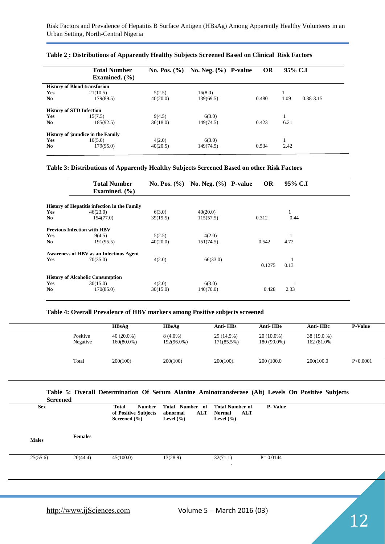|                                 | <b>Total Number</b><br>Examined. $(\% )$ | <b>No. Pos.</b> $(\% )$ | No. Neg. $(\%)$ P-value | <b>OR</b> | 95% C.I |           |
|---------------------------------|------------------------------------------|-------------------------|-------------------------|-----------|---------|-----------|
|                                 | <b>History of Blood transfusion</b>      |                         |                         |           |         |           |
| Yes                             | 21(10.5)                                 | 5(2.5)                  | 16(8.0)                 |           |         |           |
| No.                             | 179(89.5)                                | 40(20.0)                | 139(69.5)               | 0.480     | 1.09    | 0.38-3.15 |
| <b>History of STD Infection</b> |                                          |                         |                         |           |         |           |
| Yes                             | 15(7.5)                                  | 9(4.5)                  | 6(3.0)                  |           |         |           |
| No.                             | 185(92.5)                                | 36(18.0)                | 149(74.5)               | 0.423     | 6.21    |           |
|                                 | <b>History of jaundice in the Family</b> |                         |                         |           |         |           |
| <b>Yes</b>                      | 10(5.0)                                  | 4(2.0)                  | 6(3.0)                  |           |         |           |
| No.                             | 179(95.0)                                | 40(20.5)                | 149(74.5)               | 0.534     | 2.42    |           |

#### **Table 2 : Distributions of Apparently Healthy Subjects Screened Based on Clinical Risk Factors**

#### **Table 3: Distributions of Apparently Healthy Subjects Screened Based on other Risk Factors**

|                | <b>Total Number</b><br>Examined. $(\% )$            |          | No. Pos. $(\% )$ No. Neg. $(\% )$ P-value | <b>OR</b> | 95% C.I |
|----------------|-----------------------------------------------------|----------|-------------------------------------------|-----------|---------|
|                | <b>History of Hepatitis infection in the Family</b> |          |                                           |           |         |
| <b>Yes</b>     | 46(23.0)                                            | 6(3.0)   | 40(20.0)                                  |           |         |
| N <sub>0</sub> | 154(77.0)                                           | 39(19.5) | 115(57.5)                                 | 0.312     | 0.44    |
|                | <b>Previous Infection with HBV</b>                  |          |                                           |           |         |
| Yes            | 9(4.5)                                              | 5(2.5)   | 4(2.0)                                    |           |         |
| N <sub>0</sub> | 191(95.5)                                           | 40(20.0) | 151(74.5)                                 | 0.542     | 4.72    |
|                | <b>Awareness of HBV as an Infectious Agent</b>      |          |                                           |           |         |
| <b>Yes</b>     | 70(35.0)                                            | 4(2.0)   | 66(33.0)                                  |           |         |
|                |                                                     |          |                                           | 0.1275    | 0.13    |
|                | <b>History of Alcoholic Consumption</b>             |          |                                           |           |         |
| Yes            | 30(15.0)                                            | 4(2.0)   | 6(3.0)                                    |           |         |
| No             | 170(85.0)                                           | 30(15.0) | 140(70.0)                                 | 0.428     | 2.33    |
|                |                                                     |          |                                           |           |         |

#### **Table 4: Overall Prevalence of HBV markers among Positive subjects screened**

|                      | <b>HBsAg</b>                  | <b>HBeAg</b>             | Anti-HBs                 | Anti-HBe                    | Anti-HBc                   | <b>P-Value</b> |
|----------------------|-------------------------------|--------------------------|--------------------------|-----------------------------|----------------------------|----------------|
| Positive<br>Negative | $40(20.0\%)$<br>$160(80.0\%)$ | $8(4.0\%)$<br>192(96.0%) | 29 (14.5%)<br>171(85.5%) | $20(10.0\%)$<br>180 (90.0%) | 38 (19.0 %)<br>162 (81.0%) |                |
| Total                | 200(100)                      | 200(100)                 | $200(100)$ .             | 200 (100.0)                 | 200(100.0)                 | P < 0.0001     |

#### **Table 5: Overall Determination Of Serum Alanine Aminotransferase (Alt) Levels On Positive Subjects**   $\mathbf{S}_{\mathbf{a}}$

| screened     |                |                                                                           |                                                            |                                                                 |                |  |
|--------------|----------------|---------------------------------------------------------------------------|------------------------------------------------------------|-----------------------------------------------------------------|----------------|--|
| <b>Sex</b>   |                | <b>Total</b><br><b>Number</b><br>of Positive Subjects<br>Screened $(\% )$ | Total Number of<br><b>ALT</b><br>abnormal<br>Level $(\% )$ | <b>Total Number of</b><br><b>ALT</b><br>Normal<br>Level $(\% )$ | <b>P-Value</b> |  |
| <b>Males</b> | <b>Females</b> |                                                                           |                                                            |                                                                 |                |  |
| 25(55.6)     | 20(44.4)       | 45(100.0)                                                                 | 13(28.9)                                                   | 32(71.1)<br>$\bullet$                                           | $P = 0.0144$   |  |
|              |                |                                                                           |                                                            |                                                                 |                |  |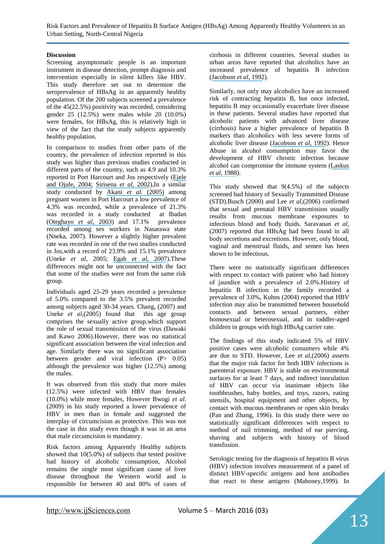Risk Factors and Prevalence of Hepatitis B Surface Antigen (HBsAg) Among Apparently Healthy Volunteers in an Urban Setting, North-Central Nigeria

#### **Discussion**

Screening asymptomatic people is an important instrument in disease detection, prompt diagnosis and intervention especially in silent killers like HBV. This study therefore set out to determine the seroprevalence of HBsAg in an apparently healthy population. Of the 200 subjects screened a prevalence of the 45(22.5%) positivity was recorded, considering gender 25 (12.5%) were males while 20 (10.0%) were females, for HBsAg, this is relatively high in view of the fact that the study subjects apparently healthy population.

In comparison to studies from other parts of the country, the prevalence of infection reported in this study was higher than previous studies conducted in different parts of the country, such as 4.9 and 10.3% reported in Port Harcourt and Jos respectively ([Ejele](https://www.researchgate.net/publication/8196439_The_prevalence_of_hepatitis_B_surface_antigen_HBsAg_among_prospective_blood_donors_and_patients_in_Port_Harcourt_Nigeria?el=1_x_8&enrichId=rgreq-67b3cab7e37983c279477810d6c17cfa-XXX&enrichSource=Y292ZXJQYWdlOzI5OTU5MjcxOTtBUzozNTU4OTc1ODM5MTUwMTFAMTQ2MTg2NDAwNDQ1NQ==)  [and Ojule, 2004;](https://www.researchgate.net/publication/8196439_The_prevalence_of_hepatitis_B_surface_antigen_HBsAg_among_prospective_blood_donors_and_patients_in_Port_Harcourt_Nigeria?el=1_x_8&enrichId=rgreq-67b3cab7e37983c279477810d6c17cfa-XXX&enrichSource=Y292ZXJQYWdlOzI5OTU5MjcxOTtBUzozNTU4OTc1ODM5MTUwMTFAMTQ2MTg2NDAwNDQ1NQ==) [Sirisena](https://www.researchgate.net/publication/11432441_Carriage_rate_of_hepatitis-B_surface_antigen_HBsAg_in_an_urban_community_in_Jos_Plateau_State_Nigeria?el=1_x_8&enrichId=rgreq-67b3cab7e37983c279477810d6c17cfa-XXX&enrichSource=Y292ZXJQYWdlOzI5OTU5MjcxOTtBUzozNTU4OTc1ODM5MTUwMTFAMTQ2MTg2NDAwNDQ1NQ==) *et al*, 2002),In a similar study conducted by [Akani](https://www.researchgate.net/publication/7390134_Sero-prevalence_of_Hepatitis_B_Surface_Antigen_HBsAg_in_pregnant_women_in_Pport_Harcourt_Nigeria?el=1_x_8&enrichId=rgreq-67b3cab7e37983c279477810d6c17cfa-XXX&enrichSource=Y292ZXJQYWdlOzI5OTU5MjcxOTtBUzozNTU4OTc1ODM5MTUwMTFAMTQ2MTg2NDAwNDQ1NQ==) *et al.* (2005) among pregnant women in Port Harcourt a low prevalence of 4.3% was recorded, while a prevalence of 21.3% was recorded in a study conducted at Ibadan ([Otegbayo](https://www.researchgate.net/publication/8541001_Prevalence_of_hepatitis_B_surface_and_e_antigens_risk_factors_for_viral_acquisition_and_serum_transaminase_among_blood_donors_in_Ibadan_Nigeria?el=1_x_8&enrichId=rgreq-67b3cab7e37983c279477810d6c17cfa-XXX&enrichSource=Y292ZXJQYWdlOzI5OTU5MjcxOTtBUzozNTU4OTc1ODM5MTUwMTFAMTQ2MTg2NDAwNDQ1NQ==) *et al*, 2003) and 17.1% prevalence recorded among sex workers in Nasarawa state (Nneka, 2007). However a slightly higher prevalent rate was recorded in one of the two studies conducted in Jos,with a record of 23.9% and 15.1% prevalence (Uneke *et al*, 2005; Egah *et al*[, 2007](https://www.researchgate.net/publication/5889564_Hepatitis_B_surface_antigen_hepatitis_C_and_HIV_antibodies_in_a_low-risk_blood_donor_group_Nigeria?el=1_x_8&enrichId=rgreq-67b3cab7e37983c279477810d6c17cfa-XXX&enrichSource=Y292ZXJQYWdlOzI5OTU5MjcxOTtBUzozNTU4OTc1ODM5MTUwMTFAMTQ2MTg2NDAwNDQ1NQ==)).These differences might not be unconnected with the fact that some of the studies were not from the same risk group.

Individuals aged 25-29 years recorded a prevalence of 5.0% compared to the 3.5% prevalent recorded among subjects aged 30-34 years. Chang, (2007) and Uneke *et al*,(2005) found that this age group comprises the sexually active group,which support the role of sexual transmission of the virus (Dawaki and Kawo 2006).However, there was no statistical significant association between the viral infection and age. Similarly there was no significant association between gender and viral infection (P  $0.05$ ) although the prevalence was higher (12.5%) among the males.

It was observed from this study that more males (12.5%) were infected with HBV than females (10.0%) while more females, However Bwogi *et al*. (2009) in his study reported a lower prevalence of HBV in men than in female and suggested the interplay of circumcision as protective. This was not the case in this study even though it was in an area that male circumcision is mandatory.

Risk factors among Apparently Healthy subjects showed that 10(5.0%) of subjects that tested positive had history of alcoholic consumption, Alcohol remains the single most significant cause of liver disease throughout the Western world and is responsible for between 40 and 80% of cases of

cirrhosis in different countries. Several studies in urban areas have reported that alcoholics have an increased prevalence of hepatitis B infection ([Jacobson](https://www.researchgate.net/publication/21598589_Human_Immunodeficiency_Virus_and_Hepatitis_B_Virus_Infections_in_a_New_York_City_Alcoholic_Population?el=1_x_8&enrichId=rgreq-67b3cab7e37983c279477810d6c17cfa-XXX&enrichSource=Y292ZXJQYWdlOzI5OTU5MjcxOTtBUzozNTU4OTc1ODM5MTUwMTFAMTQ2MTg2NDAwNDQ1NQ==) *et al,* 1992).

Similarly, not only may alcoholics have an increased risk of contracting hepatitis B, but once infected, hepatitis B may occasionally exacerbate liver disease in these patients. Several studies have reported that alcoholic patients with advanced liver disease (cirrhosis) have a higher prevalence of hepatitis B markers than alcoholics with less severe forms of alcoholic liver disease ([Jacobson](https://www.researchgate.net/publication/21598589_Human_Immunodeficiency_Virus_and_Hepatitis_B_Virus_Infections_in_a_New_York_City_Alcoholic_Population?el=1_x_8&enrichId=rgreq-67b3cab7e37983c279477810d6c17cfa-XXX&enrichSource=Y292ZXJQYWdlOzI5OTU5MjcxOTtBUzozNTU4OTc1ODM5MTUwMTFAMTQ2MTg2NDAwNDQ1NQ==) *et al,* 1992). Hence Abuse in alcohol consumption may favor the development of HBV chronic infection because alcohol can compromise the immune system ([Laskus](https://www.researchgate.net/publication/19934879_Prevalence_of_hepatitis_B_virus_markers_among_Polish_urban_alcoholics?el=1_x_8&enrichId=rgreq-67b3cab7e37983c279477810d6c17cfa-XXX&enrichSource=Y292ZXJQYWdlOzI5OTU5MjcxOTtBUzozNTU4OTc1ODM5MTUwMTFAMTQ2MTg2NDAwNDQ1NQ==)  *et al*[, 1988](https://www.researchgate.net/publication/19934879_Prevalence_of_hepatitis_B_virus_markers_among_Polish_urban_alcoholics?el=1_x_8&enrichId=rgreq-67b3cab7e37983c279477810d6c17cfa-XXX&enrichSource=Y292ZXJQYWdlOzI5OTU5MjcxOTtBUzozNTU4OTc1ODM5MTUwMTFAMTQ2MTg2NDAwNDQ1NQ==)).

This study showed that 9(4.5%) of the subjects screened had history of Sexually Transmitted Disease (STD).Busch (2000) and Lee *et al*,(2006) confirmed that sexual and prenatal HBV transmission usually results from mucous membrane exposures to infectious blood and body fluids. Saravanan *et al*, (2007) reported that HBsAg had been found in all body secretions and excretions. However, only blood, vaginal and menstrual fluids, and semen has been shown to be infectious.

There were no statistically significant differences with respect to contact with patient who had history of jaundice with a prevalence of 2.0%.History of hepatitis B infection in the family recorded a prevalence of 3.0%, Kuhns (2004) reported that HBV infection may also be transmitted between household contacts and between sexual partners, either homosexual or heterosexual, and in toddler-aged children in groups with high HBsAg carrier rate.

The findings of this study indicated 5% of HBV positive cases were alcoholic consumers while 4% are due to STD. However, Lee *et al,*(2006) asserts that the major risk factor for both HBV infections is parenteral exposure. HBV is stable on environmental surfaces for at least 7 days, and indirect inoculation of HBV can occur via inanimate objects like toothbrushes, baby bottles, and toys, razors, eating utensils, hospital equipment and other objects, by contact with mucous membranes or open skin breaks (Pan and Zhang, 1996). In this study there were no statistically significant differences with respect to method of nail trimming, method of ear piercing, shaving and subjects with history of blood transfusion.

Serologic testing for the diagnosis of hepatitis B virus (HBV) infection involves measurement of a panel of distinct HBV-specific antigens and host antibodies that react to these antigens (Mahoney,1999). In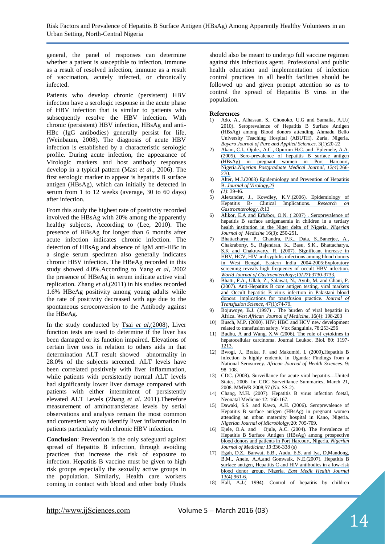general, the panel of responses can determine whether a patient is susceptible to infection, immune as a result of resolved infection, immune as a result of vaccination, acutely infected, or chronically infected.

Patients who develop chronic (persistent) HBV infection have a serologic response in the acute phase of HBV infection that is similar to patients who subsequently resolve the HBV infection. With chronic (persistent) HBV infection, HBsAg and anti-HBc (IgG antibodies) generally persist for life, (Weinbaum, 2008). The diagnosis of acute HBV infection is established by a characteristic serologic profile. During acute infection, the appearance of Virologic markers and host antibody responses develop in a typical pattern (Mast *et al.,* 2006). The first serologic marker to appear is hepatitis B surface antigen (HBsAg), which can initially be detected in serum from 1 to 12 weeks (average, 30 to 60 days) after infection.

From this study the highest rate of positivity recorded involved the HBsAg with 20% among the apparently healthy subjects, According to (Lee, 2010). The presence of HBsAg for longer than 6 months after acute infection indicates chronic infection. The detection of HBsAg and absence of IgM anti-HBc in a single serum specimen also generally indicates chronic HBV infection. The HBeAg recorded in this study showed 4.0%.According to Yang *et al*, 2002 the presence of HBeAg in serum indicate active viral replication. Zhang *et al*,(2011) in his studies recorded 1.6% HBeAg positivity among young adults while the rate of positivity decreased with age due to the spontaneous seroconversion to the Antibody against the HBeAg.

In the study conducted by Tsai *et al,*[\(2008\)](https://www.researchgate.net/publication/26730889_Seroepidemiology_of_hepatitis_B_virus_infection_Analysis_of_mass_screening_in_Hawaii?el=1_x_8&enrichId=rgreq-67b3cab7e37983c279477810d6c17cfa-XXX&enrichSource=Y292ZXJQYWdlOzI5OTU5MjcxOTtBUzozNTU4OTc1ODM5MTUwMTFAMTQ2MTg2NDAwNDQ1NQ==), Liver function tests are used to determine if the liver has been damaged or its function impaired. Elevations of certain liver tests in relation to others aids in that determination ALT result showed abnormality in 28.0% of the subjects screened. ALT levels have been correlated positively with liver inflammation, while patients with persistently normal ALT levels had significantly lower liver damage compared with patients with either intermittent of persistently elevated ALT Levels (Zhang *et al*. 2011).Therefore measurement of aminotransferase levels by serial observations and analysis remain the most common and convenient way to identify liver inflammation in patients particularly with chronic HBV infection.

**Conclusion**: Prevention is the only safeguard against spread of Hepatitis B infection, through avoiding practices that increase the risk of exposure to infection. Hepatitis B vaccine must be given to high risk groups especially the sexually active groups in the population. Similarly, Health care workers coming in contact with blood and other body Fluids

should also be meant to undergo full vaccine regimen against this infectious agent. Professional and public health education and implementation of infection control practices in all health facilities should be followed up and given prompt attention so as to control the spread of Hepatitis B virus in the population.

#### **References**

- 1) Ado, A., Alhassan, S., Chonoko, U.G and Samaila, A.U.( 2010). Seroprevalence of Hepatitis B Surface Antigen (HBsAg) among Blood donors attending Ahmadu Bello University Teaching Hospital (ABUTH), Zaria, Nigeria. *Bayero Journal of Pure and Applied Sciences*. 3(1):20-22
- 2) [Akani, C.I., Ojule., A.C., Opurum H.C. and Ejilemele, A.A.](https://www.researchgate.net/publication/7390134_Sero-prevalence_of_Hepatitis_B_Surface_Antigen_HBsAg_in_pregnant_women_in_Pport_Harcourt_Nigeria?el=1_x_8&enrichId=rgreq-67b3cab7e37983c279477810d6c17cfa-XXX&enrichSource=Y292ZXJQYWdlOzI5OTU5MjcxOTtBUzozNTU4OTc1ODM5MTUwMTFAMTQ2MTg2NDAwNDQ1NQ==)  [\(2005\). Sero-prevalence of hepatitis B surface antigen](https://www.researchgate.net/publication/7390134_Sero-prevalence_of_Hepatitis_B_Surface_Antigen_HBsAg_in_pregnant_women_in_Pport_Harcourt_Nigeria?el=1_x_8&enrichId=rgreq-67b3cab7e37983c279477810d6c17cfa-XXX&enrichSource=Y292ZXJQYWdlOzI5OTU5MjcxOTtBUzozNTU4OTc1ODM5MTUwMTFAMTQ2MTg2NDAwNDQ1NQ==)  [\(HBsAg\) in pregnant women in Port Harcourt,](https://www.researchgate.net/publication/7390134_Sero-prevalence_of_Hepatitis_B_Surface_Antigen_HBsAg_in_pregnant_women_in_Pport_Harcourt_Nigeria?el=1_x_8&enrichId=rgreq-67b3cab7e37983c279477810d6c17cfa-XXX&enrichSource=Y292ZXJQYWdlOzI5OTU5MjcxOTtBUzozNTU4OTc1ODM5MTUwMTFAMTQ2MTg2NDAwNDQ1NQ==)  Nigeria.*[Nigerian Postgraduate Medical](https://www.researchgate.net/publication/7390134_Sero-prevalence_of_Hepatitis_B_Surface_Antigen_HBsAg_in_pregnant_women_in_Pport_Harcourt_Nigeria?el=1_x_8&enrichId=rgreq-67b3cab7e37983c279477810d6c17cfa-XXX&enrichSource=Y292ZXJQYWdlOzI5OTU5MjcxOTtBUzozNTU4OTc1ODM5MTUwMTFAMTQ2MTg2NDAwNDQ1NQ==) Journal*, *12(4)*:266- [270.](https://www.researchgate.net/publication/7390134_Sero-prevalence_of_Hepatitis_B_Surface_Antigen_HBsAg_in_pregnant_women_in_Pport_Harcourt_Nigeria?el=1_x_8&enrichId=rgreq-67b3cab7e37983c279477810d6c17cfa-XXX&enrichSource=Y292ZXJQYWdlOzI5OTU5MjcxOTtBUzozNTU4OTc1ODM5MTUwMTFAMTQ2MTg2NDAwNDQ1NQ==)
- 3) [Alter, M.J.\(2003\) Epidemiology and Prevention of Hepatitis](https://www.researchgate.net/publication/10875058_Epidemiology_and_Prevention_of_Hepatitis_B?el=1_x_8&enrichId=rgreq-67b3cab7e37983c279477810d6c17cfa-XXX&enrichSource=Y292ZXJQYWdlOzI5OTU5MjcxOTtBUzozNTU4OTc1ODM5MTUwMTFAMTQ2MTg2NDAwNDQ1NQ==)  B. *[Journal of Virology,23](https://www.researchgate.net/publication/10875058_Epidemiology_and_Prevention_of_Hepatitis_B?el=1_x_8&enrichId=rgreq-67b3cab7e37983c279477810d6c17cfa-XXX&enrichSource=Y292ZXJQYWdlOzI5OTU5MjcxOTtBUzozNTU4OTc1ODM5MTUwMTFAMTQ2MTg2NDAwNDQ1NQ==)*
- 4) *(1)*: 39-46.
- 5) [Alexander, J., Kowdley, K.V.\(2006\). Epidemiology of](https://www.researchgate.net/publication/6861051_Epidemiology_of_hepatitis_B_Clinical_implications?el=1_x_8&enrichId=rgreq-67b3cab7e37983c279477810d6c17cfa-XXX&enrichSource=Y292ZXJQYWdlOzI5OTU5MjcxOTtBUzozNTU4OTc1ODM5MTUwMTFAMTQ2MTg2NDAwNDQ1NQ==) Hepatitis B- Clinical Implications. Research on Hepatitis B- [Clinical Implications.](https://www.researchgate.net/publication/6861051_Epidemiology_of_hepatitis_B_Clinical_implications?el=1_x_8&enrichId=rgreq-67b3cab7e37983c279477810d6c17cfa-XXX&enrichSource=Y292ZXJQYWdlOzI5OTU5MjcxOTtBUzozNTU4OTc1ODM5MTUwMTFAMTQ2MTg2NDAwNDQ1NQ==) *Research on [Gastroenterology,](https://www.researchgate.net/publication/6861051_Epidemiology_of_hepatitis_B_Clinical_implications?el=1_x_8&enrichId=rgreq-67b3cab7e37983c279477810d6c17cfa-XXX&enrichSource=Y292ZXJQYWdlOzI5OTU5MjcxOTtBUzozNTU4OTc1ODM5MTUwMTFAMTQ2MTg2NDAwNDQ1NQ==) 8*:13
- 6) [Alikor, E.A and Erhabor, O.N. \( 2007\) . Seroprevalence of](https://www.researchgate.net/publication/5908586_Seroprevalence_of_hepatitis_B_surface_antigenaemia_in_children_in_a_tertiary_health_institution_in_the_Niger_Delta_of_Nigeria?el=1_x_8&enrichId=rgreq-67b3cab7e37983c279477810d6c17cfa-XXX&enrichSource=Y292ZXJQYWdlOzI5OTU5MjcxOTtBUzozNTU4OTc1ODM5MTUwMTFAMTQ2MTg2NDAwNDQ1NQ==)  [hepatitis B surface antigenaemia in children in a tertiary](https://www.researchgate.net/publication/5908586_Seroprevalence_of_hepatitis_B_surface_antigenaemia_in_children_in_a_tertiary_health_institution_in_the_Niger_Delta_of_Nigeria?el=1_x_8&enrichId=rgreq-67b3cab7e37983c279477810d6c17cfa-XXX&enrichSource=Y292ZXJQYWdlOzI5OTU5MjcxOTtBUzozNTU4OTc1ODM5MTUwMTFAMTQ2MTg2NDAwNDQ1NQ==)  [health institution in the Niger delta of Nigeria.](https://www.researchgate.net/publication/5908586_Seroprevalence_of_hepatitis_B_surface_antigenaemia_in_children_in_a_tertiary_health_institution_in_the_Niger_Delta_of_Nigeria?el=1_x_8&enrichId=rgreq-67b3cab7e37983c279477810d6c17cfa-XXX&enrichSource=Y292ZXJQYWdlOzI5OTU5MjcxOTtBUzozNTU4OTc1ODM5MTUwMTFAMTQ2MTg2NDAwNDQ1NQ==) *Nigerian [Journal of Med](https://www.researchgate.net/publication/5908586_Seroprevalence_of_hepatitis_B_surface_antigenaemia_in_children_in_a_tertiary_health_institution_in_the_Niger_Delta_of_Nigeria?el=1_x_8&enrichId=rgreq-67b3cab7e37983c279477810d6c17cfa-XXX&enrichSource=Y292ZXJQYWdlOzI5OTU5MjcxOTtBUzozNTU4OTc1ODM5MTUwMTFAMTQ2MTg2NDAwNDQ1NQ==)*i*cine* 16(3): 250-251.
- 7) [Bhattacharya, P., Chandra, P.K., Data, S.,Banerjee, A.,](https://www.researchgate.net/publication/6178752_Significant_increase_in_HBV_HCV_HIV_and_syphilis_infections_among_blood_donors_in_West_Bengal_Eastern_India_2004-2005_Exploratory_screening_reveals_high_frequency_of_occult_HBV_infection?el=1_x_8&enrichId=rgreq-67b3cab7e37983c279477810d6c17cfa-XXX&enrichSource=Y292ZXJQYWdlOzI5OTU5MjcxOTtBUzozNTU4OTc1ODM5MTUwMTFAMTQ2MTg2NDAwNDQ1NQ==)  [Chakraborty, S., Rajendran, K., Basu,](https://www.researchgate.net/publication/6178752_Significant_increase_in_HBV_HCV_HIV_and_syphilis_infections_among_blood_donors_in_West_Bengal_Eastern_India_2004-2005_Exploratory_screening_reveals_high_frequency_of_occult_HBV_infection?el=1_x_8&enrichId=rgreq-67b3cab7e37983c279477810d6c17cfa-XXX&enrichSource=Y292ZXJQYWdlOzI5OTU5MjcxOTtBUzozNTU4OTc1ODM5MTUwMTFAMTQ2MTg2NDAwNDQ1NQ==) S.K., Bhattacharya, [S.K and Chakravarty, R. \(2007\). Significant increase in](https://www.researchgate.net/publication/6178752_Significant_increase_in_HBV_HCV_HIV_and_syphilis_infections_among_blood_donors_in_West_Bengal_Eastern_India_2004-2005_Exploratory_screening_reveals_high_frequency_of_occult_HBV_infection?el=1_x_8&enrichId=rgreq-67b3cab7e37983c279477810d6c17cfa-XXX&enrichSource=Y292ZXJQYWdlOzI5OTU5MjcxOTtBUzozNTU4OTc1ODM5MTUwMTFAMTQ2MTg2NDAwNDQ1NQ==)  [HBV, HCV, HIV and syphilis infections among blood donors](https://www.researchgate.net/publication/6178752_Significant_increase_in_HBV_HCV_HIV_and_syphilis_infections_among_blood_donors_in_West_Bengal_Eastern_India_2004-2005_Exploratory_screening_reveals_high_frequency_of_occult_HBV_infection?el=1_x_8&enrichId=rgreq-67b3cab7e37983c279477810d6c17cfa-XXX&enrichSource=Y292ZXJQYWdlOzI5OTU5MjcxOTtBUzozNTU4OTc1ODM5MTUwMTFAMTQ2MTg2NDAwNDQ1NQ==)  [in West Bengal, Eastern India 2004-2005:Exploratory](https://www.researchgate.net/publication/6178752_Significant_increase_in_HBV_HCV_HIV_and_syphilis_infections_among_blood_donors_in_West_Bengal_Eastern_India_2004-2005_Exploratory_screening_reveals_high_frequency_of_occult_HBV_infection?el=1_x_8&enrichId=rgreq-67b3cab7e37983c279477810d6c17cfa-XXX&enrichSource=Y292ZXJQYWdlOzI5OTU5MjcxOTtBUzozNTU4OTc1ODM5MTUwMTFAMTQ2MTg2NDAwNDQ1NQ==) screening reveals high frequency of occult HBV infection. *World Journal [of Gastroenterology;13\(27\)](https://www.researchgate.net/publication/6178752_Significant_increase_in_HBV_HCV_HIV_and_syphilis_infections_among_blood_donors_in_West_Bengal_Eastern_India_2004-2005_Exploratory_screening_reveals_high_frequency_of_occult_HBV_infection?el=1_x_8&enrichId=rgreq-67b3cab7e37983c279477810d6c17cfa-XXX&enrichSource=Y292ZXJQYWdlOzI5OTU5MjcxOTtBUzozNTU4OTc1ODM5MTUwMTFAMTQ2MTg2NDAwNDQ1NQ==)*:3730-3733.
- 8) [Bhatti, F.A., Ullah, Z., Salawat, N., Ayub, M. and Ghani, P.](https://www.researchgate.net/publication/6594424_Anti-hepatits_B_core_antigen_testing_viral_markers_and_occult_hepatitis_B_virus_infection_in_Pakistani_blood_donors_Implications_for_transfusion_practice?el=1_x_8&enrichId=rgreq-67b3cab7e37983c279477810d6c17cfa-XXX&enrichSource=Y292ZXJQYWdlOzI5OTU5MjcxOTtBUzozNTU4OTc1ODM5MTUwMTFAMTQ2MTg2NDAwNDQ1NQ==)  [\(2007\). Anti-Hepatitis B core antigen testing, viral markers](https://www.researchgate.net/publication/6594424_Anti-hepatits_B_core_antigen_testing_viral_markers_and_occult_hepatitis_B_virus_infection_in_Pakistani_blood_donors_Implications_for_transfusion_practice?el=1_x_8&enrichId=rgreq-67b3cab7e37983c279477810d6c17cfa-XXX&enrichSource=Y292ZXJQYWdlOzI5OTU5MjcxOTtBUzozNTU4OTc1ODM5MTUwMTFAMTQ2MTg2NDAwNDQ1NQ==)  [and Occult hepatitis B virus infection in Pakistani blood](https://www.researchgate.net/publication/6594424_Anti-hepatits_B_core_antigen_testing_viral_markers_and_occult_hepatitis_B_virus_infection_in_Pakistani_blood_donors_Implications_for_transfusion_practice?el=1_x_8&enrichId=rgreq-67b3cab7e37983c279477810d6c17cfa-XXX&enrichSource=Y292ZXJQYWdlOzI5OTU5MjcxOTtBUzozNTU4OTc1ODM5MTUwMTFAMTQ2MTg2NDAwNDQ1NQ==)  [donors: implications for transfusion practice.](https://www.researchgate.net/publication/6594424_Anti-hepatits_B_core_antigen_testing_viral_markers_and_occult_hepatitis_B_virus_infection_in_Pakistani_blood_donors_Implications_for_transfusion_practice?el=1_x_8&enrichId=rgreq-67b3cab7e37983c279477810d6c17cfa-XXX&enrichSource=Y292ZXJQYWdlOzI5OTU5MjcxOTtBUzozNTU4OTc1ODM5MTUwMTFAMTQ2MTg2NDAwNDQ1NQ==) *Journal of [Transfusion Science](https://www.researchgate.net/publication/6594424_Anti-hepatits_B_core_antigen_testing_viral_markers_and_occult_hepatitis_B_virus_infection_in_Pakistani_blood_donors_Implications_for_transfusion_practice?el=1_x_8&enrichId=rgreq-67b3cab7e37983c279477810d6c17cfa-XXX&enrichSource=Y292ZXJQYWdlOzI5OTU5MjcxOTtBUzozNTU4OTc1ODM5MTUwMTFAMTQ2MTg2NDAwNDQ1NQ==)*, 47(1):74-79.
- Bojuwoye, B.J. (1997) . The burden of viral hepatitis in Africa. *[West African Journal of Medicine](https://www.researchgate.net/publication/13756851_The_burden_of_viral_hepatitis_in_Africa?el=1_x_8&enrichId=rgreq-67b3cab7e37983c279477810d6c17cfa-XXX&enrichSource=Y292ZXJQYWdlOzI5OTU5MjcxOTtBUzozNTU4OTc1ODM5MTUwMTFAMTQ2MTg2NDAwNDQ1NQ==)*, 16(4): 198-203
- 10) Busch, M.P. (2000). HIV; HBC and HCV new development related to transfusion safety. Vox Sanguinis, 78:253-256
- 11) [Budhu, A and Wang, X.W \(2006\). The role of cytokines in](https://www.researchgate.net/publication/6842936_The_role_of_cytokines_in_hepatocellular_carcinoma?el=1_x_8&enrichId=rgreq-67b3cab7e37983c279477810d6c17cfa-XXX&enrichSource=Y292ZXJQYWdlOzI5OTU5MjcxOTtBUzozNTU4OTc1ODM5MTUwMTFAMTQ2MTg2NDAwNDQ1NQ==)  [hepatocellular carcinoma. Journal Leukoc. Biol. 80: 1197-](https://www.researchgate.net/publication/6842936_The_role_of_cytokines_in_hepatocellular_carcinoma?el=1_x_8&enrichId=rgreq-67b3cab7e37983c279477810d6c17cfa-XXX&enrichSource=Y292ZXJQYWdlOzI5OTU5MjcxOTtBUzozNTU4OTc1ODM5MTUwMTFAMTQ2MTg2NDAwNDQ1NQ==) [1213.](https://www.researchgate.net/publication/6842936_The_role_of_cytokines_in_hepatocellular_carcinoma?el=1_x_8&enrichId=rgreq-67b3cab7e37983c279477810d6c17cfa-XXX&enrichSource=Y292ZXJQYWdlOzI5OTU5MjcxOTtBUzozNTU4OTc1ODM5MTUwMTFAMTQ2MTg2NDAwNDQ1NQ==)
- 12) Bwogi, J., Braka, F. and Makumbi, I. (2009).Hepatitis B infection is highly endemic in Uganda: Findings from a National Serosurvey. *African Journal of Health Sciences*. 9: 98–108.
- 13) [CDC. \(2008\). Surveillance for acute viral hepatitis---United](http://www.cdc.gov/mmwr/preview/mmwrhtml/ss5702a1.htm)  [States, 2006. In: CDC Surveillance Summaries, March 21,](http://www.cdc.gov/mmwr/preview/mmwrhtml/ss5702a1.htm)  [2008. MMWR 2008;57 \(No. SS-2\).](http://www.cdc.gov/mmwr/preview/mmwrhtml/ss5702a1.htm)
- 14) Chang, M.H. (2007). Hepatitis B virus infection foetal, Neonatal Medicine 12: 160-167.
- 15) Dawaki, S.S. and Kawo, A.H. (2006). Seroprevalence of Hepatitis B surface antigen (HBsAg) in pregnant women attending an urban maternity hospital in Kano, Nigeria. *Nigerian Journal of Microbiolgy;*20: 705-709.
- 16) [Ejele, O.A. and Ojule, A.C. \(2004\). The Prevalence of](https://www.researchgate.net/publication/8196439_The_prevalence_of_hepatitis_B_surface_antigen_HBsAg_among_prospective_blood_donors_and_patients_in_Port_Harcourt_Nigeria?el=1_x_8&enrichId=rgreq-67b3cab7e37983c279477810d6c17cfa-XXX&enrichSource=Y292ZXJQYWdlOzI5OTU5MjcxOTtBUzozNTU4OTc1ODM5MTUwMTFAMTQ2MTg2NDAwNDQ1NQ==)  [Hepatitis B Surface Antigen \(HBsAg\) among prospective](https://www.researchgate.net/publication/8196439_The_prevalence_of_hepatitis_B_surface_antigen_HBsAg_among_prospective_blood_donors_and_patients_in_Port_Harcourt_Nigeria?el=1_x_8&enrichId=rgreq-67b3cab7e37983c279477810d6c17cfa-XXX&enrichSource=Y292ZXJQYWdlOzI5OTU5MjcxOTtBUzozNTU4OTc1ODM5MTUwMTFAMTQ2MTg2NDAwNDQ1NQ==)  [blood donors and patients in Port Harcourt, Nigeria.](https://www.researchgate.net/publication/8196439_The_prevalence_of_hepatitis_B_surface_antigen_HBsAg_among_prospective_blood_donors_and_patients_in_Port_Harcourt_Nigeria?el=1_x_8&enrichId=rgreq-67b3cab7e37983c279477810d6c17cfa-XXX&enrichSource=Y292ZXJQYWdlOzI5OTU5MjcxOTtBUzozNTU4OTc1ODM5MTUwMTFAMTQ2MTg2NDAwNDQ1NQ==) *Nigerian Journal of [Medicine; 13](https://www.researchgate.net/publication/8196439_The_prevalence_of_hepatitis_B_surface_antigen_HBsAg_among_prospective_blood_donors_and_patients_in_Port_Harcourt_Nigeria?el=1_x_8&enrichId=rgreq-67b3cab7e37983c279477810d6c17cfa-XXX&enrichSource=Y292ZXJQYWdlOzI5OTU5MjcxOTtBUzozNTU4OTc1ODM5MTUwMTFAMTQ2MTg2NDAwNDQ1NQ==)*:336-338 (s)
- 17) [Egah, D.Z., Banwat, E.B., Audu, E.S. and Iya, D,Mandong,](https://www.researchgate.net/publication/5889564_Hepatitis_B_surface_antigen_hepatitis_C_and_HIV_antibodies_in_a_low-risk_blood_donor_group_Nigeria?el=1_x_8&enrichId=rgreq-67b3cab7e37983c279477810d6c17cfa-XXX&enrichSource=Y292ZXJQYWdlOzI5OTU5MjcxOTtBUzozNTU4OTc1ODM5MTUwMTFAMTQ2MTg2NDAwNDQ1NQ==) B.M., Anele, A.A.and Gomwalk, [N.E.\(2007\). Hepatitis B](https://www.researchgate.net/publication/5889564_Hepatitis_B_surface_antigen_hepatitis_C_and_HIV_antibodies_in_a_low-risk_blood_donor_group_Nigeria?el=1_x_8&enrichId=rgreq-67b3cab7e37983c279477810d6c17cfa-XXX&enrichSource=Y292ZXJQYWdlOzI5OTU5MjcxOTtBUzozNTU4OTc1ODM5MTUwMTFAMTQ2MTg2NDAwNDQ1NQ==) [surface antigen, Hepatitis C and HIV antibodies in a low-risk](https://www.researchgate.net/publication/5889564_Hepatitis_B_surface_antigen_hepatitis_C_and_HIV_antibodies_in_a_low-risk_blood_donor_group_Nigeria?el=1_x_8&enrichId=rgreq-67b3cab7e37983c279477810d6c17cfa-XXX&enrichSource=Y292ZXJQYWdlOzI5OTU5MjcxOTtBUzozNTU4OTc1ODM5MTUwMTFAMTQ2MTg2NDAwNDQ1NQ==) [blood donor group, Nigeria.](https://www.researchgate.net/publication/5889564_Hepatitis_B_surface_antigen_hepatitis_C_and_HIV_antibodies_in_a_low-risk_blood_donor_group_Nigeria?el=1_x_8&enrichId=rgreq-67b3cab7e37983c279477810d6c17cfa-XXX&enrichSource=Y292ZXJQYWdlOzI5OTU5MjcxOTtBUzozNTU4OTc1ODM5MTUwMTFAMTQ2MTg2NDAwNDQ1NQ==) *East Medit Health Journal* [13\(4\):961-6.](https://www.researchgate.net/publication/5889564_Hepatitis_B_surface_antigen_hepatitis_C_and_HIV_antibodies_in_a_low-risk_blood_donor_group_Nigeria?el=1_x_8&enrichId=rgreq-67b3cab7e37983c279477810d6c17cfa-XXX&enrichSource=Y292ZXJQYWdlOzI5OTU5MjcxOTtBUzozNTU4OTc1ODM5MTUwMTFAMTQ2MTg2NDAwNDQ1NQ==)
- 18) Hall, A.J.( 1994). Control of hepatitis by children